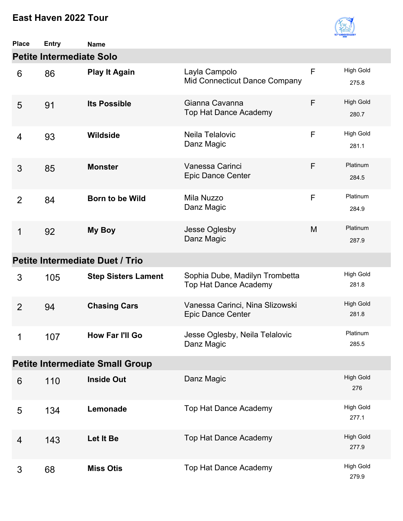

| <b>Place</b>   | <b>Entry</b>                    | <b>Name</b>                            |                                                                |   |                           |
|----------------|---------------------------------|----------------------------------------|----------------------------------------------------------------|---|---------------------------|
|                | <b>Petite Intermediate Solo</b> |                                        |                                                                |   |                           |
| 6              | 86                              | <b>Play It Again</b>                   | Layla Campolo<br>Mid Connecticut Dance Company                 | F | <b>High Gold</b><br>275.8 |
| 5              | 91                              | <b>Its Possible</b>                    | Gianna Cavanna<br>Top Hat Dance Academy                        | F | <b>High Gold</b><br>280.7 |
| 4              | 93                              | <b>Wildside</b>                        | Neila Telalovic<br>Danz Magic                                  | F | <b>High Gold</b><br>281.1 |
| 3              | 85                              | <b>Monster</b>                         | Vanessa Carinci<br><b>Epic Dance Center</b>                    | F | Platinum<br>284.5         |
| 2              | 84                              | <b>Born to be Wild</b>                 | Mila Nuzzo<br>Danz Magic                                       | F | Platinum<br>284.9         |
| $\mathbf 1$    | 92                              | My Boy                                 | Jesse Oglesby<br>Danz Magic                                    | M | Platinum<br>287.9         |
|                |                                 | Petite Intermediate Duet / Trio        |                                                                |   |                           |
| 3              | 105                             | <b>Step Sisters Lament</b>             | Sophia Dube, Madilyn Trombetta<br><b>Top Hat Dance Academy</b> |   | <b>High Gold</b><br>281.8 |
| $\overline{2}$ | 94                              | <b>Chasing Cars</b>                    | Vanessa Carinci, Nina Slizowski<br>Epic Dance Center           |   | <b>High Gold</b><br>281.8 |
| 1              | 107                             | How Far I'll Go                        | Jesse Oglesby, Neila Telalovic<br>Danz Magic                   |   | Platinum<br>285.5         |
|                |                                 | <b>Petite Intermediate Small Group</b> |                                                                |   |                           |
| 6              | 110                             | <b>Inside Out</b>                      | Danz Magic                                                     |   | <b>High Gold</b><br>276   |
| 5              | 134                             | Lemonade                               | <b>Top Hat Dance Academy</b>                                   |   | <b>High Gold</b><br>277.1 |
| 4              | 143                             | Let It Be                              | Top Hat Dance Academy                                          |   | <b>High Gold</b><br>277.9 |
| 3              | 68                              | <b>Miss Otis</b>                       | Top Hat Dance Academy                                          |   | <b>High Gold</b><br>279.9 |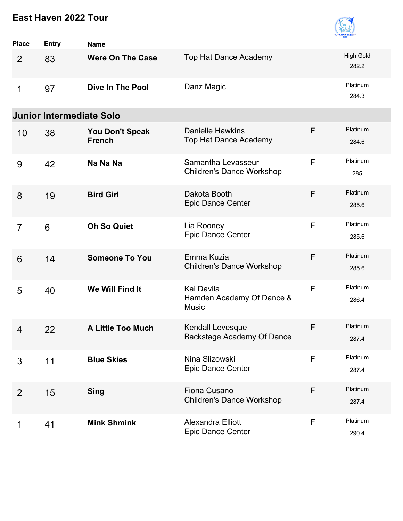

| <b>Place</b>   | <b>Entry</b>                    | <b>Name</b>                             |                                                         |   |                           |
|----------------|---------------------------------|-----------------------------------------|---------------------------------------------------------|---|---------------------------|
| 2              | 83                              | <b>Were On The Case</b>                 | <b>Top Hat Dance Academy</b>                            |   | <b>High Gold</b><br>282.2 |
| 1              | 97                              | <b>Dive In The Pool</b>                 | Danz Magic                                              |   | Platinum<br>284.3         |
|                | <b>Junior Intermediate Solo</b> |                                         |                                                         |   |                           |
| 10             | 38                              | <b>You Don't Speak</b><br><b>French</b> | <b>Danielle Hawkins</b><br><b>Top Hat Dance Academy</b> | F | Platinum<br>284.6         |
| 9              | 42                              | Na Na Na                                | Samantha Levasseur<br><b>Children's Dance Workshop</b>  | F | Platinum<br>285           |
| 8              | 19                              | <b>Bird Girl</b>                        | Dakota Booth<br><b>Epic Dance Center</b>                | F | Platinum<br>285.6         |
| $\overline{7}$ | 6                               | <b>Oh So Quiet</b>                      | Lia Rooney<br>Epic Dance Center                         | F | Platinum<br>285.6         |
| 6              | 14                              | <b>Someone To You</b>                   | Emma Kuzia<br><b>Children's Dance Workshop</b>          | F | Platinum<br>285.6         |
| 5              | 40                              | We Will Find It                         | Kai Davila<br>Hamden Academy Of Dance &<br><b>Music</b> | F | Platinum<br>286.4         |
| 4              | 22                              | <b>A Little Too Much</b>                | Kendall Levesque<br>Backstage Academy Of Dance          | F | Platinum<br>287.4         |
| 3              | 11                              | <b>Blue Skies</b>                       | Nina Slizowski<br>Epic Dance Center                     | F | Platinum<br>287.4         |
| $\overline{2}$ | 15                              | <b>Sing</b>                             | Fiona Cusano<br><b>Children's Dance Workshop</b>        | F | Platinum<br>287.4         |
| 1              | 41                              | <b>Mink Shmink</b>                      | <b>Alexandra Elliott</b><br><b>Epic Dance Center</b>    | F | Platinum<br>290.4         |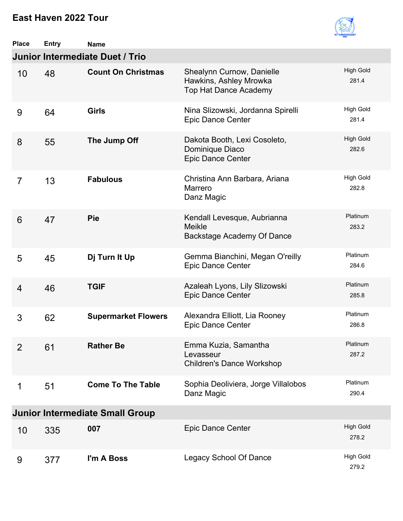

| <b>Place</b>   | <b>Entry</b> | <b>Name</b>                            |                                                                              |                           |
|----------------|--------------|----------------------------------------|------------------------------------------------------------------------------|---------------------------|
|                |              | Junior Intermediate Duet / Trio        |                                                                              |                           |
| 10             | 48           | <b>Count On Christmas</b>              | Shealynn Curnow, Danielle<br>Hawkins, Ashley Mrowka<br>Top Hat Dance Academy | <b>High Gold</b><br>281.4 |
| 9              | 64           | <b>Girls</b>                           | Nina Slizowski, Jordanna Spirelli<br><b>Epic Dance Center</b>                | <b>High Gold</b><br>281.4 |
| 8              | 55           | The Jump Off                           | Dakota Booth, Lexi Cosoleto,<br>Dominique Diaco<br>Epic Dance Center         | <b>High Gold</b><br>282.6 |
| $\overline{7}$ | 13           | <b>Fabulous</b>                        | Christina Ann Barbara, Ariana<br>Marrero<br>Danz Magic                       | <b>High Gold</b><br>282.8 |
| 6              | 47           | Pie                                    | Kendall Levesque, Aubrianna<br><b>Meikle</b><br>Backstage Academy Of Dance   | Platinum<br>283.2         |
| 5              | 45           | Dj Turn It Up                          | Gemma Bianchini, Megan O'reilly<br><b>Epic Dance Center</b>                  | Platinum<br>284.6         |
| $\overline{4}$ | 46           | <b>TGIF</b>                            | Azaleah Lyons, Lily Slizowski<br>Epic Dance Center                           | Platinum<br>285.8         |
| 3              | 62           | <b>Supermarket Flowers</b>             | Alexandra Elliott, Lia Rooney<br><b>Epic Dance Center</b>                    | Platinum<br>286.8         |
| 2              | 61           | <b>Rather Be</b>                       | Emma Kuzia, Samantha<br>Levasseur<br><b>Children's Dance Workshop</b>        | Platinum<br>287.2         |
| 1              | 51           | <b>Come To The Table</b>               | Sophia Deoliviera, Jorge Villalobos<br>Danz Magic                            | Platinum<br>290.4         |
|                |              | <b>Junior Intermediate Small Group</b> |                                                                              |                           |
| 10             | 335          | 007                                    | <b>Epic Dance Center</b>                                                     | <b>High Gold</b><br>278.2 |
| 9              | 377          | I'm A Boss                             | Legacy School Of Dance                                                       | <b>High Gold</b><br>279.2 |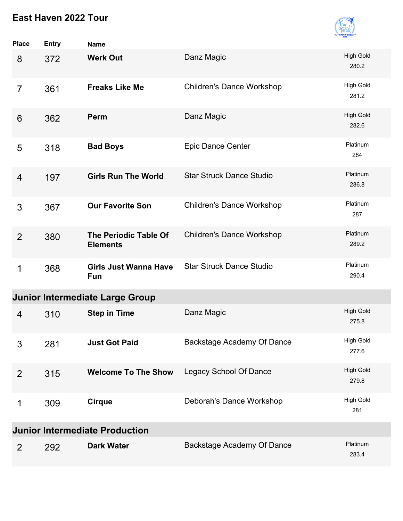

| <b>Place</b>   | <b>Entry</b>                          | <b>Name</b>                                |                                  |                           |  |  |
|----------------|---------------------------------------|--------------------------------------------|----------------------------------|---------------------------|--|--|
| 8              | 372                                   | <b>Werk Out</b>                            | Danz Magic                       | <b>High Gold</b><br>280.2 |  |  |
| 7              | 361                                   | <b>Freaks Like Me</b>                      | <b>Children's Dance Workshop</b> | <b>High Gold</b><br>281.2 |  |  |
| 6              | 362                                   | Perm                                       | Danz Magic                       | <b>High Gold</b><br>282.6 |  |  |
| 5              | 318                                   | <b>Bad Boys</b>                            | <b>Epic Dance Center</b>         | Platinum<br>284           |  |  |
| $\overline{4}$ | 197                                   | <b>Girls Run The World</b>                 | <b>Star Struck Dance Studio</b>  | Platinum<br>286.8         |  |  |
| 3              | 367                                   | <b>Our Favorite Son</b>                    | <b>Children's Dance Workshop</b> | Platinum<br>287           |  |  |
| $\overline{2}$ | 380                                   | The Periodic Table Of<br><b>Elements</b>   | <b>Children's Dance Workshop</b> | Platinum<br>289.2         |  |  |
| 1              | 368                                   | <b>Girls Just Wanna Have</b><br><b>Fun</b> | <b>Star Struck Dance Studio</b>  | Platinum<br>290.4         |  |  |
|                |                                       | <b>Junior Intermediate Large Group</b>     |                                  |                           |  |  |
| $\overline{4}$ | 310                                   | <b>Step in Time</b>                        | Danz Magic                       | <b>High Gold</b><br>275.8 |  |  |
| 3              | 281                                   | <b>Just Got Paid</b>                       | Backstage Academy Of Dance       | <b>High Gold</b><br>277.6 |  |  |
| 2              | 315                                   | <b>Welcome To The Show</b>                 | <b>Legacy School Of Dance</b>    | <b>High Gold</b><br>279.8 |  |  |
| 1              | 309                                   | <b>Cirque</b>                              | Deborah's Dance Workshop         | High Gold<br>281          |  |  |
|                | <b>Junior Intermediate Production</b> |                                            |                                  |                           |  |  |
| $\overline{2}$ | 292                                   | <b>Dark Water</b>                          | Backstage Academy Of Dance       | Platinum<br>283.4         |  |  |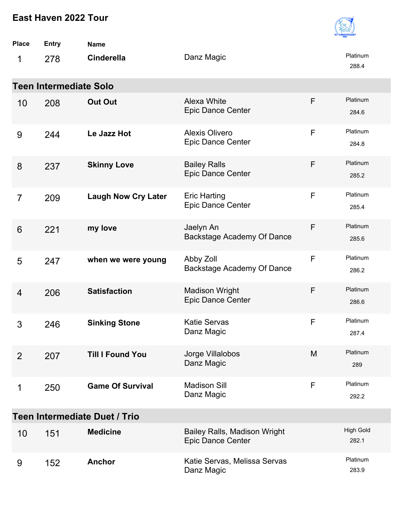| East Haven 2022 Tour |                               |                               |                                                                 |             |                           |  |
|----------------------|-------------------------------|-------------------------------|-----------------------------------------------------------------|-------------|---------------------------|--|
| Place                | <b>Entry</b>                  | <b>Name</b>                   |                                                                 |             |                           |  |
| 1                    | 278                           | <b>Cinderella</b>             | Danz Magic                                                      |             | Platinum<br>288.4         |  |
|                      | <b>Teen Intermediate Solo</b> |                               |                                                                 |             |                           |  |
| 10                   | 208                           | <b>Out Out</b>                | Alexa White<br><b>Epic Dance Center</b>                         | F           | Platinum<br>284.6         |  |
| 9                    | 244                           | Le Jazz Hot                   | <b>Alexis Olivero</b><br><b>Epic Dance Center</b>               | $\mathsf F$ | Platinum<br>284.8         |  |
| 8                    | 237                           | <b>Skinny Love</b>            | <b>Bailey Ralls</b><br><b>Epic Dance Center</b>                 | F           | Platinum<br>285.2         |  |
| $\overline{7}$       | 209                           | <b>Laugh Now Cry Later</b>    | <b>Eric Harting</b><br><b>Epic Dance Center</b>                 | F           | Platinum<br>285.4         |  |
| 6                    | 221                           | my love                       | Jaelyn An<br>Backstage Academy Of Dance                         | F           | Platinum<br>285.6         |  |
| 5                    | 247                           | when we were young            | Abby Zoll<br>Backstage Academy Of Dance                         | F           | Platinum<br>286.2         |  |
| 4                    | 206                           | <b>Satisfaction</b>           | <b>Madison Wright</b><br><b>Epic Dance Center</b>               | F           | Platinum<br>286.6         |  |
| 3                    | 246                           | <b>Sinking Stone</b>          | <b>Katie Servas</b><br>Danz Magic                               | F           | Platinum<br>287.4         |  |
| $\overline{2}$       | 207                           | <b>Till I Found You</b>       | Jorge Villalobos<br>Danz Magic                                  | M           | Platinum<br>289           |  |
| 1                    | 250                           | <b>Game Of Survival</b>       | <b>Madison Sill</b><br>Danz Magic                               | F           | Platinum<br>292.2         |  |
|                      |                               | Teen Intermediate Duet / Trio |                                                                 |             |                           |  |
| 10                   | 151                           | <b>Medicine</b>               | <b>Bailey Ralls, Madison Wright</b><br><b>Epic Dance Center</b> |             | <b>High Gold</b><br>282.1 |  |
|                      |                               |                               |                                                                 |             |                           |  |

| 9 | 152 | Anchor | Katie Servas, Melissa Servas<br>Danz Magic | <b>Platinum</b><br>283.9 |
|---|-----|--------|--------------------------------------------|--------------------------|
|   |     |        |                                            |                          |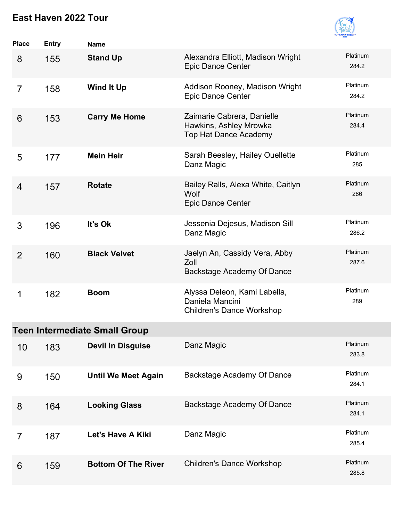

| <b>Place</b>   | <b>Entry</b> | <b>Name</b>                          |                                                                                      |                   |
|----------------|--------------|--------------------------------------|--------------------------------------------------------------------------------------|-------------------|
| 8              | 155          | <b>Stand Up</b>                      | Alexandra Elliott, Madison Wright<br><b>Epic Dance Center</b>                        | Platinum<br>284.2 |
| $\overline{7}$ | 158          | <b>Wind It Up</b>                    | Addison Rooney, Madison Wright<br>Epic Dance Center                                  | Platinum<br>284.2 |
| 6              | 153          | <b>Carry Me Home</b>                 | Zaimarie Cabrera, Danielle<br>Hawkins, Ashley Mrowka<br><b>Top Hat Dance Academy</b> | Platinum<br>284.4 |
| 5              | 177          | <b>Mein Heir</b>                     | Sarah Beesley, Hailey Ouellette<br>Danz Magic                                        | Platinum<br>285   |
| $\overline{4}$ | 157          | <b>Rotate</b>                        | Bailey Ralls, Alexa White, Caitlyn<br>Wolf<br>Epic Dance Center                      | Platinum<br>286   |
| 3              | 196          | It's Ok                              | Jessenia Dejesus, Madison Sill<br>Danz Magic                                         | Platinum<br>286.2 |
| 2              | 160          | <b>Black Velvet</b>                  | Jaelyn An, Cassidy Vera, Abby<br>Zoll<br>Backstage Academy Of Dance                  | Platinum<br>287.6 |
| 1              | 182          | <b>Boom</b>                          | Alyssa Deleon, Kami Labella,<br>Daniela Mancini<br><b>Children's Dance Workshop</b>  | Platinum<br>289   |
|                |              | <b>Teen Intermediate Small Group</b> |                                                                                      |                   |
| 10             | 183          | <b>Devil In Disguise</b>             | Danz Magic                                                                           | Platinum<br>283.8 |
| 9              | 150          | <b>Until We Meet Again</b>           | Backstage Academy Of Dance                                                           | Platinum<br>284.1 |
| 8              | 164          | <b>Looking Glass</b>                 | Backstage Academy Of Dance                                                           | Platinum<br>284.1 |
| 7              | 187          | Let's Have A Kiki                    | Danz Magic                                                                           | Platinum<br>285.4 |
| 6              | 159          | <b>Bottom Of The River</b>           | <b>Children's Dance Workshop</b>                                                     | Platinum<br>285.8 |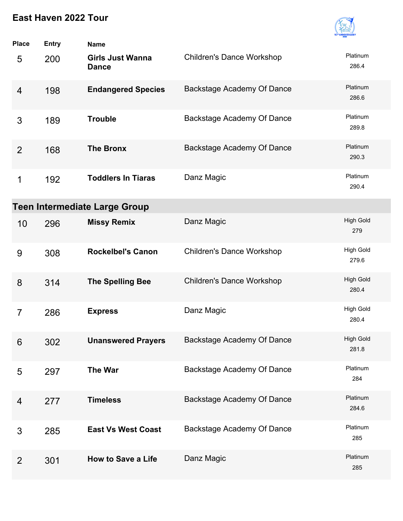

| <b>Place</b>   | <b>Entry</b> | <b>Name</b>                             |                                   |                           |
|----------------|--------------|-----------------------------------------|-----------------------------------|---------------------------|
| 5              | 200          | <b>Girls Just Wanna</b><br><b>Dance</b> | <b>Children's Dance Workshop</b>  | Platinum<br>286.4         |
| $\overline{4}$ | 198          | <b>Endangered Species</b>               | Backstage Academy Of Dance        | Platinum<br>286.6         |
| 3              | 189          | <b>Trouble</b>                          | Backstage Academy Of Dance        | Platinum<br>289.8         |
| 2              | 168          | <b>The Bronx</b>                        | Backstage Academy Of Dance        | Platinum<br>290.3         |
| 1              | 192          | <b>Toddlers In Tiaras</b>               | Danz Magic                        | Platinum<br>290.4         |
|                |              | <b>Teen Intermediate Large Group</b>    |                                   |                           |
| 10             | 296          | <b>Missy Remix</b>                      | Danz Magic                        | <b>High Gold</b><br>279   |
| 9              | 308          | <b>Rockelbel's Canon</b>                | <b>Children's Dance Workshop</b>  | <b>High Gold</b><br>279.6 |
| 8              | 314          | <b>The Spelling Bee</b>                 | <b>Children's Dance Workshop</b>  | <b>High Gold</b><br>280.4 |
| $\overline{7}$ | 286          | <b>Express</b>                          | Danz Magic                        | <b>High Gold</b><br>280.4 |
| 6              | 302          | <b>Unanswered Prayers</b>               | Backstage Academy Of Dance        | <b>High Gold</b><br>281.8 |
| 5              | 297          | <b>The War</b>                          | Backstage Academy Of Dance        | Platinum<br>284           |
| 4              | 277          | <b>Timeless</b>                         | <b>Backstage Academy Of Dance</b> | Platinum<br>284.6         |
| 3              | 285          | <b>East Vs West Coast</b>               | Backstage Academy Of Dance        | Platinum<br>285           |
| $\overline{2}$ | 301          | <b>How to Save a Life</b>               | Danz Magic                        | Platinum<br>285           |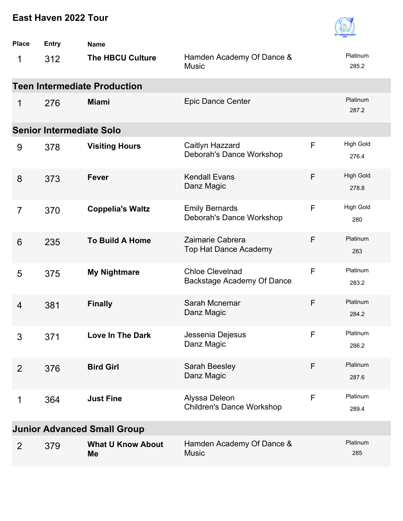

| <b>Place</b>   | <b>Entry</b>                    | <b>Name</b>                         |                                                      |   |                           |
|----------------|---------------------------------|-------------------------------------|------------------------------------------------------|---|---------------------------|
| 1              | 312                             | <b>The HBCU Culture</b>             | Hamden Academy Of Dance &<br><b>Music</b>            |   | Platinum<br>285.2         |
|                |                                 | <b>Teen Intermediate Production</b> |                                                      |   |                           |
| 1              | 276                             | <b>Miami</b>                        | <b>Epic Dance Center</b>                             |   | Platinum<br>287.2         |
|                | <b>Senior Intermediate Solo</b> |                                     |                                                      |   |                           |
| 9              | 378                             | <b>Visiting Hours</b>               | Caitlyn Hazzard<br>Deborah's Dance Workshop          | F | <b>High Gold</b><br>276.4 |
| 8              | 373                             | <b>Fever</b>                        | <b>Kendall Evans</b><br>Danz Magic                   | F | <b>High Gold</b><br>278.8 |
| $\overline{7}$ | 370                             | <b>Coppelia's Waltz</b>             | <b>Emily Bernards</b><br>Deborah's Dance Workshop    | F | <b>High Gold</b><br>280   |
| 6              | 235                             | <b>To Build A Home</b>              | Zaimarie Cabrera<br><b>Top Hat Dance Academy</b>     | F | Platinum<br>283           |
| 5              | 375                             | <b>My Nightmare</b>                 | <b>Chloe Clevelnad</b><br>Backstage Academy Of Dance | F | Platinum<br>283.2         |
| 4              | 381                             | <b>Finally</b>                      | Sarah Mcnemar<br>Danz Magic                          | F | Platinum<br>284.2         |
| 3              | 371                             | Love In The Dark                    | Jessenia Dejesus<br>Danz Magic                       | F | Platinum<br>286.2         |
| $\overline{2}$ | 376                             | <b>Bird Girl</b>                    | Sarah Beesley<br>Danz Magic                          | F | Platinum<br>287.6         |
| 1              | 364                             | <b>Just Fine</b>                    | Alyssa Deleon<br><b>Children's Dance Workshop</b>    | F | Platinum<br>289.4         |
|                |                                 | <b>Junior Advanced Small Group</b>  |                                                      |   |                           |
| 2              | 379                             | <b>What U Know About</b><br>Me      | Hamden Academy Of Dance &<br><b>Music</b>            |   | Platinum<br>285           |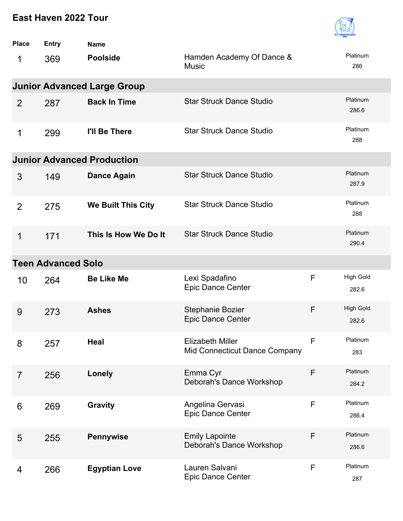

| <b>Place</b>   | <b>Entry</b>              | <b>Name</b>                        |                                                          |              |                           |
|----------------|---------------------------|------------------------------------|----------------------------------------------------------|--------------|---------------------------|
| 1              | 369                       | <b>Poolside</b>                    | Hamden Academy Of Dance &<br><b>Music</b>                |              | Platinum<br>286           |
|                |                           | <b>Junior Advanced Large Group</b> |                                                          |              |                           |
| 2              | 287                       | <b>Back In Time</b>                | <b>Star Struck Dance Studio</b>                          |              | Platinum<br>286.6         |
| 1              | 299                       | I'll Be There                      | <b>Star Struck Dance Studio</b>                          |              | Platinum<br>288           |
|                |                           | <b>Junior Advanced Production</b>  |                                                          |              |                           |
| 3              | 149                       | <b>Dance Again</b>                 | <b>Star Struck Dance Studio</b>                          |              | Platinum<br>287.9         |
| $\overline{2}$ | 275                       | We Built This City                 | <b>Star Struck Dance Studio</b>                          |              | Platinum<br>288           |
| 1              | 171                       | This Is How We Do It               | <b>Star Struck Dance Studio</b>                          |              | Platinum<br>290.4         |
|                | <b>Teen Advanced Solo</b> |                                    |                                                          |              |                           |
| 10             | 264                       | <b>Be Like Me</b>                  | Lexi Spadafino<br><b>Epic Dance Center</b>               | F            | <b>High Gold</b><br>282.6 |
| 9              | 273                       | <b>Ashes</b>                       | Stephanie Bozier<br>Epic Dance Center                    | F            | <b>High Gold</b><br>282.6 |
| 8              | 257                       | <b>Heal</b>                        | <b>Elizabeth Miller</b><br>Mid Connecticut Dance Company | $\mathsf{F}$ | Platinum<br>283           |
| $\overline{7}$ | 256                       | <b>Lonely</b>                      | Emma Cyr<br>Deborah's Dance Workshop                     | F            | Platinum<br>284.2         |
| 6              | 269                       | <b>Gravity</b>                     | Angelina Gervasi<br>Epic Dance Center                    | $\mathsf F$  | Platinum<br>286.4         |
| 5              | 255                       | <b>Pennywise</b>                   | <b>Emily Lapointe</b><br>Deborah's Dance Workshop        | F            | Platinum<br>286.6         |
| 4              | 266                       | <b>Egyptian Love</b>               | Lauren Salvani<br>Epic Dance Center                      | $\mathsf F$  | Platinum<br>287           |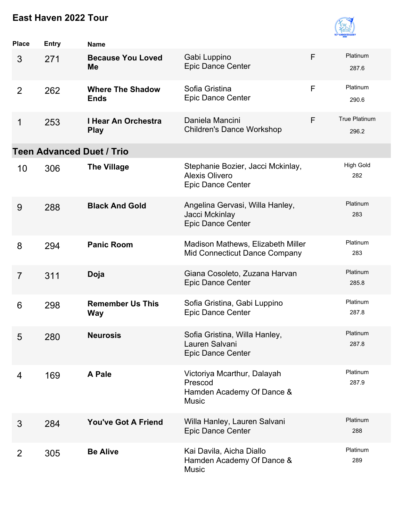

| <b>Place</b>   | <b>Entry</b> | <b>Name</b>                            |                                                                                        |   |                         |
|----------------|--------------|----------------------------------------|----------------------------------------------------------------------------------------|---|-------------------------|
| 3              | 271          | <b>Because You Loved</b><br>Me         | Gabi Luppino<br><b>Epic Dance Center</b>                                               | F | Platinum<br>287.6       |
| $\overline{2}$ | 262          | <b>Where The Shadow</b><br><b>Ends</b> | Sofia Gristina<br><b>Epic Dance Center</b>                                             | F | Platinum<br>290.6       |
| 1              | 253          | I Hear An Orchestra<br><b>Play</b>     | Daniela Mancini<br><b>Children's Dance Workshop</b>                                    | F | True Platinum<br>296.2  |
|                |              | <b>Teen Advanced Duet / Trio</b>       |                                                                                        |   |                         |
| 10             | 306          | <b>The Village</b>                     | Stephanie Bozier, Jacci Mckinlay,<br><b>Alexis Olivero</b><br><b>Epic Dance Center</b> |   | <b>High Gold</b><br>282 |
| 9              | 288          | <b>Black And Gold</b>                  | Angelina Gervasi, Willa Hanley,<br>Jacci Mckinlay<br>Epic Dance Center                 |   | Platinum<br>283         |
| 8              | 294          | <b>Panic Room</b>                      | Madison Mathews, Elizabeth Miller<br>Mid Connecticut Dance Company                     |   | Platinum<br>283         |
| $\overline{7}$ | 311          | Doja                                   | Giana Cosoleto, Zuzana Harvan<br><b>Epic Dance Center</b>                              |   | Platinum<br>285.8       |
| 6              | 298          | <b>Remember Us This</b><br><b>Way</b>  | Sofia Gristina, Gabi Luppino<br><b>Epic Dance Center</b>                               |   | Platinum<br>287.8       |
| 5              | 280          | <b>Neurosis</b>                        | Sofia Gristina, Willa Hanley,<br>Lauren Salvani<br>Epic Dance Center                   |   | Platinum<br>287.8       |
| 4              | 169          | A Pale                                 | Victoriya Mcarthur, Dalayah<br>Prescod<br>Hamden Academy Of Dance &<br><b>Music</b>    |   | Platinum<br>287.9       |
| 3              | 284          | <b>You've Got A Friend</b>             | Willa Hanley, Lauren Salvani<br><b>Epic Dance Center</b>                               |   | Platinum<br>288         |
| 2              | 305          | <b>Be Alive</b>                        | Kai Davila, Aicha Diallo<br>Hamden Academy Of Dance &<br><b>Music</b>                  |   | Platinum<br>289         |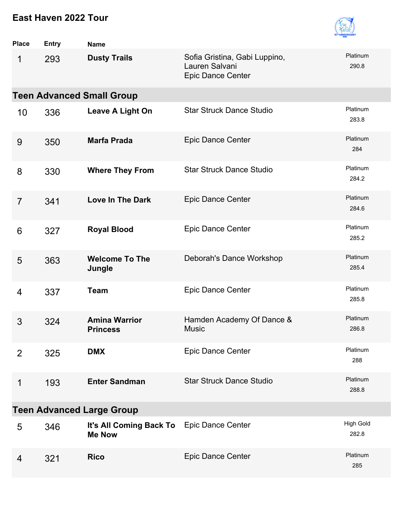

| <b>Place</b>   | <b>Entry</b> | <b>Name</b>                              |                                                                             |                           |
|----------------|--------------|------------------------------------------|-----------------------------------------------------------------------------|---------------------------|
| 1              | 293          | <b>Dusty Trails</b>                      | Sofia Gristina, Gabi Luppino,<br>Lauren Salvani<br><b>Epic Dance Center</b> | Platinum<br>290.8         |
|                |              | <b>Teen Advanced Small Group</b>         |                                                                             |                           |
| 10             | 336          | Leave A Light On                         | <b>Star Struck Dance Studio</b>                                             | Platinum<br>283.8         |
| 9              | 350          | <b>Marfa Prada</b>                       | Epic Dance Center                                                           | Platinum<br>284           |
| 8              | 330          | <b>Where They From</b>                   | <b>Star Struck Dance Studio</b>                                             | Platinum<br>284.2         |
| $\overline{7}$ | 341          | <b>Love In The Dark</b>                  | <b>Epic Dance Center</b>                                                    | Platinum<br>284.6         |
| 6              | 327          | <b>Royal Blood</b>                       | Epic Dance Center                                                           | Platinum<br>285.2         |
| 5              | 363          | <b>Welcome To The</b><br>Jungle          | Deborah's Dance Workshop                                                    | Platinum<br>285.4         |
| 4              | 337          | <b>Team</b>                              | Epic Dance Center                                                           | Platinum<br>285.8         |
| 3              | 324          | <b>Amina Warrior</b><br><b>Princess</b>  | Hamden Academy Of Dance &<br><b>Music</b>                                   | Platinum<br>286.8         |
| 2              | 325          | <b>DMX</b>                               | Epic Dance Center                                                           | Platinum<br>288           |
| 1              | 193          | <b>Enter Sandman</b>                     | <b>Star Struck Dance Studio</b>                                             | Platinum<br>288.8         |
|                |              | <b>Teen Advanced Large Group</b>         |                                                                             |                           |
| 5              | 346          | It's All Coming Back To<br><b>Me Now</b> | Epic Dance Center                                                           | <b>High Gold</b><br>282.8 |
| $\overline{4}$ | 321          | <b>Rico</b>                              | Epic Dance Center                                                           | Platinum<br>285           |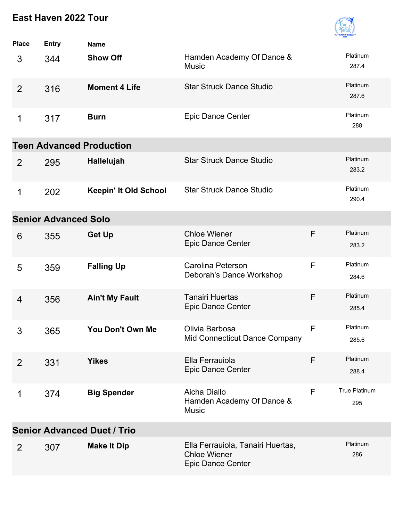

| <b>Place</b>                       | <b>Entry</b>                | <b>Name</b>                     |                                                                                      |              |                      |  |
|------------------------------------|-----------------------------|---------------------------------|--------------------------------------------------------------------------------------|--------------|----------------------|--|
| 3                                  | 344                         | <b>Show Off</b>                 | Hamden Academy Of Dance &<br><b>Music</b>                                            |              | Platinum<br>287.4    |  |
| $\overline{2}$                     | 316                         | <b>Moment 4 Life</b>            | <b>Star Struck Dance Studio</b>                                                      |              | Platinum<br>287.6    |  |
| 1                                  | 317                         | <b>Burn</b>                     | Epic Dance Center                                                                    |              | Platinum<br>288      |  |
|                                    |                             | <b>Teen Advanced Production</b> |                                                                                      |              |                      |  |
| 2                                  | 295                         | Hallelujah                      | <b>Star Struck Dance Studio</b>                                                      |              | Platinum<br>283.2    |  |
| 1                                  | 202                         | <b>Keepin' It Old School</b>    | <b>Star Struck Dance Studio</b>                                                      |              | Platinum<br>290.4    |  |
|                                    | <b>Senior Advanced Solo</b> |                                 |                                                                                      |              |                      |  |
| 6                                  | 355                         | <b>Get Up</b>                   | <b>Chloe Wiener</b><br><b>Epic Dance Center</b>                                      | F            | Platinum<br>283.2    |  |
| 5                                  | 359                         | <b>Falling Up</b>               | Carolina Peterson<br>Deborah's Dance Workshop                                        | F            | Platinum<br>284.6    |  |
| 4                                  | 356                         | <b>Ain't My Fault</b>           | <b>Tanairi Huertas</b><br><b>Epic Dance Center</b>                                   | F            | Platinum<br>285.4    |  |
| 3                                  | 365                         | You Don't Own Me                | Olivia Barbosa<br>Mid Connecticut Dance Company                                      | $\mathsf{F}$ | Platinum<br>285.6    |  |
| 2                                  | 331                         | <b>Yikes</b>                    | Ella Ferrauiola<br><b>Epic Dance Center</b>                                          | F            | Platinum<br>288.4    |  |
| 1                                  | 374                         | <b>Big Spender</b>              | Aicha Diallo<br>Hamden Academy Of Dance &<br><b>Music</b>                            | F            | True Platinum<br>295 |  |
| <b>Senior Advanced Duet / Trio</b> |                             |                                 |                                                                                      |              |                      |  |
| $\overline{2}$                     | 307                         | <b>Make It Dip</b>              | Ella Ferrauiola, Tanairi Huertas,<br><b>Chloe Wiener</b><br><b>Epic Dance Center</b> |              | Platinum<br>286      |  |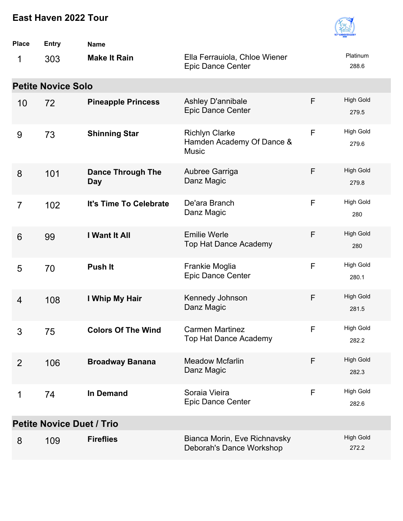

| <b>Place</b>                     | Entry                     | <b>Name</b>                            |                                                                    |   |                           |  |
|----------------------------------|---------------------------|----------------------------------------|--------------------------------------------------------------------|---|---------------------------|--|
| 1                                | 303                       | <b>Make It Rain</b>                    | Ella Ferrauiola, Chloe Wiener<br><b>Epic Dance Center</b>          |   | Platinum<br>288.6         |  |
|                                  | <b>Petite Novice Solo</b> |                                        |                                                                    |   |                           |  |
| 10                               | 72                        | <b>Pineapple Princess</b>              | Ashley D'annibale<br><b>Epic Dance Center</b>                      | F | <b>High Gold</b><br>279.5 |  |
| 9                                | 73                        | <b>Shinning Star</b>                   | <b>Richlyn Clarke</b><br>Hamden Academy Of Dance &<br><b>Music</b> | F | <b>High Gold</b><br>279.6 |  |
| 8                                | 101                       | <b>Dance Through The</b><br><b>Day</b> | Aubree Garriga<br>Danz Magic                                       | F | <b>High Gold</b><br>279.8 |  |
| $\overline{7}$                   | 102                       | It's Time To Celebrate                 | De'ara Branch<br>Danz Magic                                        | F | <b>High Gold</b><br>280   |  |
| 6                                | 99                        | I Want It All                          | <b>Emilie Werle</b><br><b>Top Hat Dance Academy</b>                | F | <b>High Gold</b><br>280   |  |
| 5                                | 70                        | <b>Push It</b>                         | Frankie Moglia<br><b>Epic Dance Center</b>                         | F | <b>High Gold</b><br>280.1 |  |
| 4                                | 108                       | I Whip My Hair                         | Kennedy Johnson<br>Danz Magic                                      | F | <b>High Gold</b><br>281.5 |  |
| 3                                | 75                        | <b>Colors Of The Wind</b>              | <b>Carmen Martinez</b><br>Top Hat Dance Academy                    | F | <b>High Gold</b><br>282.2 |  |
| 2                                | 106                       | <b>Broadway Banana</b>                 | <b>Meadow Mcfarlin</b><br>Danz Magic                               | F | <b>High Gold</b><br>282.3 |  |
| 1                                | 74                        | <b>In Demand</b>                       | Soraia Vieira<br><b>Epic Dance Center</b>                          | F | High Gold<br>282.6        |  |
| <b>Petite Novice Duet / Trio</b> |                           |                                        |                                                                    |   |                           |  |
| 8                                | 109                       | <b>Fireflies</b>                       | Bianca Morin, Eve Richnavsky<br>Deborah's Dance Workshop           |   | <b>High Gold</b><br>272.2 |  |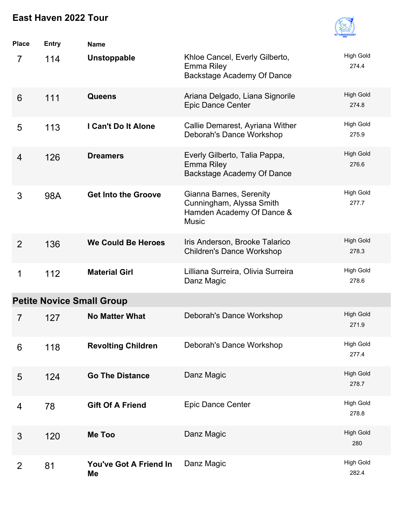

| Place | <b>Entry</b>                     | <b>Name</b>                  |                                                                                                  |                           |  |  |  |  |
|-------|----------------------------------|------------------------------|--------------------------------------------------------------------------------------------------|---------------------------|--|--|--|--|
| 7     | 114                              | <b>Unstoppable</b>           | Khloe Cancel, Everly Gilberto,<br><b>Emma Riley</b><br>Backstage Academy Of Dance                | <b>High Gold</b><br>274.4 |  |  |  |  |
| 6     | 111                              | <b>Queens</b>                | Ariana Delgado, Liana Signorile<br><b>Epic Dance Center</b>                                      | <b>High Gold</b><br>274.8 |  |  |  |  |
| 5     | 113                              | I Can't Do It Alone          | Callie Demarest, Ayriana Wither<br>Deborah's Dance Workshop                                      | <b>High Gold</b><br>275.9 |  |  |  |  |
| 4     | 126                              | <b>Dreamers</b>              | Everly Gilberto, Talia Pappa,<br><b>Emma Riley</b><br>Backstage Academy Of Dance                 | <b>High Gold</b><br>276.6 |  |  |  |  |
| 3     | 98A                              | <b>Get Into the Groove</b>   | Gianna Barnes, Serenity<br>Cunningham, Alyssa Smith<br>Hamden Academy Of Dance &<br><b>Music</b> | <b>High Gold</b><br>277.7 |  |  |  |  |
| 2     | 136                              | <b>We Could Be Heroes</b>    | Iris Anderson, Brooke Talarico<br><b>Children's Dance Workshop</b>                               | <b>High Gold</b><br>278.3 |  |  |  |  |
| 1     | 112                              | <b>Material Girl</b>         | Lilliana Surreira, Olivia Surreira<br>Danz Magic                                                 | <b>High Gold</b><br>278.6 |  |  |  |  |
|       | <b>Petite Novice Small Group</b> |                              |                                                                                                  |                           |  |  |  |  |
| 7     | 127                              | <b>No Matter What</b>        | Deborah's Dance Workshop                                                                         | <b>High Gold</b><br>271.9 |  |  |  |  |
| 6     | 118                              | <b>Revolting Children</b>    | Deborah's Dance Workshop                                                                         | <b>High Gold</b><br>277.4 |  |  |  |  |
| 5     | 124                              | <b>Go The Distance</b>       | Danz Magic                                                                                       | <b>High Gold</b><br>278.7 |  |  |  |  |
| 4     | 78                               | <b>Gift Of A Friend</b>      | Epic Dance Center                                                                                | <b>High Gold</b><br>278.8 |  |  |  |  |
| 3     | 120                              | Me Too                       | Danz Magic                                                                                       | <b>High Gold</b><br>280   |  |  |  |  |
| 2     | 81                               | You've Got A Friend In<br>Me | Danz Magic                                                                                       | <b>High Gold</b><br>282.4 |  |  |  |  |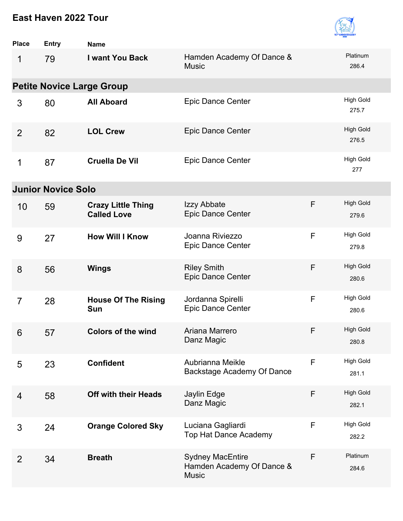

| <b>Place</b>   | <b>Entry</b>              | <b>Name</b>                                     |                                                                      |              |                           |
|----------------|---------------------------|-------------------------------------------------|----------------------------------------------------------------------|--------------|---------------------------|
| 1              | 79                        | I want You Back                                 | Hamden Academy Of Dance &<br><b>Music</b>                            |              | Platinum<br>286.4         |
|                |                           | <b>Petite Novice Large Group</b>                |                                                                      |              |                           |
| 3              | 80                        | <b>All Aboard</b>                               | <b>Epic Dance Center</b>                                             |              | <b>High Gold</b><br>275.7 |
| 2              | 82                        | <b>LOL Crew</b>                                 | <b>Epic Dance Center</b>                                             |              | <b>High Gold</b><br>276.5 |
| 1              | 87                        | <b>Cruella De Vil</b>                           | <b>Epic Dance Center</b>                                             |              | <b>High Gold</b><br>277   |
|                | <b>Junior Novice Solo</b> |                                                 |                                                                      |              |                           |
| 10             | 59                        | <b>Crazy Little Thing</b><br><b>Called Love</b> | Izzy Abbate<br><b>Epic Dance Center</b>                              | F            | <b>High Gold</b><br>279.6 |
| 9              | 27                        | <b>How Will I Know</b>                          | Joanna Riviezzo<br><b>Epic Dance Center</b>                          | $\mathsf F$  | <b>High Gold</b><br>279.8 |
| 8              | 56                        | <b>Wings</b>                                    | <b>Riley Smith</b><br><b>Epic Dance Center</b>                       | F            | <b>High Gold</b><br>280.6 |
| $\overline{7}$ | 28                        | <b>House Of The Rising</b><br><b>Sun</b>        | Jordanna Spirelli<br><b>Epic Dance Center</b>                        | $\mathsf{F}$ | <b>High Gold</b><br>280.6 |
| 6              | 57                        | <b>Colors of the wind</b>                       | Ariana Marrero<br>Danz Magic                                         | F            | <b>High Gold</b><br>280.8 |
| 5              | 23                        | <b>Confident</b>                                | Aubrianna Meikle<br>Backstage Academy Of Dance                       | F            | <b>High Gold</b><br>281.1 |
| 4              | 58                        | <b>Off with their Heads</b>                     | Jaylin Edge<br>Danz Magic                                            | F            | <b>High Gold</b><br>282.1 |
| 3              | 24                        | <b>Orange Colored Sky</b>                       | Luciana Gagliardi<br>Top Hat Dance Academy                           | F            | High Gold<br>282.2        |
| $\overline{2}$ | 34                        | <b>Breath</b>                                   | <b>Sydney MacEntire</b><br>Hamden Academy Of Dance &<br><b>Music</b> | F            | Platinum<br>284.6         |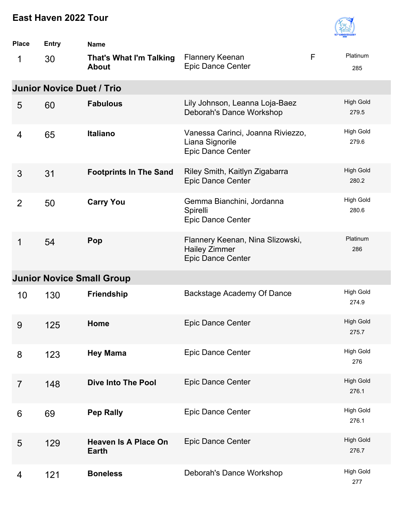

| <b>Place</b>   | <b>Entry</b>                     | <b>Name</b>                                    |                                                                                      |   |                           |
|----------------|----------------------------------|------------------------------------------------|--------------------------------------------------------------------------------------|---|---------------------------|
| 1              | 30                               | <b>That's What I'm Talking</b><br><b>About</b> | <b>Flannery Keenan</b><br>Epic Dance Center                                          | F | Platinum<br>285           |
|                | <b>Junior Novice Duet / Trio</b> |                                                |                                                                                      |   |                           |
| 5              | 60                               | <b>Fabulous</b>                                | Lily Johnson, Leanna Loja-Baez<br>Deborah's Dance Workshop                           |   | <b>High Gold</b><br>279.5 |
| 4              | 65                               | <b>Italiano</b>                                | Vanessa Carinci, Joanna Riviezzo,<br>Liana Signorile<br><b>Epic Dance Center</b>     |   | <b>High Gold</b><br>279.6 |
| 3              | 31                               | <b>Footprints In The Sand</b>                  | Riley Smith, Kaitlyn Zigabarra<br><b>Epic Dance Center</b>                           |   | <b>High Gold</b><br>280.2 |
| $\overline{2}$ | 50                               | <b>Carry You</b>                               | Gemma Bianchini, Jordanna<br>Spirelli<br><b>Epic Dance Center</b>                    |   | <b>High Gold</b><br>280.6 |
| 1              | 54                               | Pop                                            | Flannery Keenan, Nina Slizowski,<br><b>Hailey Zimmer</b><br><b>Epic Dance Center</b> |   | Platinum<br>286           |
|                |                                  | <b>Junior Novice Small Group</b>               |                                                                                      |   |                           |
| 10             | 130                              | <b>Friendship</b>                              | Backstage Academy Of Dance                                                           |   | <b>High Gold</b><br>274.9 |
| 9              | 125                              | Home                                           | <b>Epic Dance Center</b>                                                             |   | <b>High Gold</b><br>275.7 |
| 8              | 123                              | <b>Hey Mama</b>                                | Epic Dance Center                                                                    |   | <b>High Gold</b><br>276   |
| $\overline{7}$ | 148                              | <b>Dive Into The Pool</b>                      | Epic Dance Center                                                                    |   | <b>High Gold</b><br>276.1 |
| 6              | 69                               | <b>Pep Rally</b>                               | Epic Dance Center                                                                    |   | <b>High Gold</b><br>276.1 |
| 5              | 129                              | <b>Heaven Is A Place On</b><br><b>Earth</b>    | Epic Dance Center                                                                    |   | <b>High Gold</b><br>276.7 |
| 4              | 121                              | <b>Boneless</b>                                | Deborah's Dance Workshop                                                             |   | <b>High Gold</b><br>277   |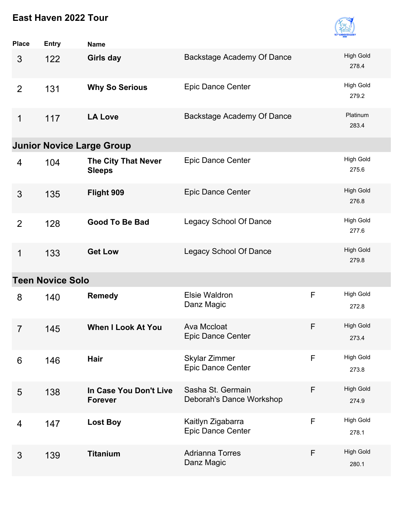

| <b>Place</b>   | <b>Entry</b>            | <b>Name</b>                                 |                                                  |   |                           |  |  |  |
|----------------|-------------------------|---------------------------------------------|--------------------------------------------------|---|---------------------------|--|--|--|
| 3              | 122                     | Girls day                                   | Backstage Academy Of Dance                       |   | <b>High Gold</b><br>278.4 |  |  |  |
| $\overline{2}$ | 131                     | <b>Why So Serious</b>                       | <b>Epic Dance Center</b>                         |   | <b>High Gold</b><br>279.2 |  |  |  |
| 1              | 117                     | <b>LA Love</b>                              | Backstage Academy Of Dance                       |   | Platinum<br>283.4         |  |  |  |
|                |                         | <b>Junior Novice Large Group</b>            |                                                  |   |                           |  |  |  |
| 4              | 104                     | <b>The City That Never</b><br><b>Sleeps</b> | <b>Epic Dance Center</b>                         |   | <b>High Gold</b><br>275.6 |  |  |  |
| 3              | 135                     | Flight 909                                  | <b>Epic Dance Center</b>                         |   | <b>High Gold</b><br>276.8 |  |  |  |
| $\overline{2}$ | 128                     | <b>Good To Be Bad</b>                       | <b>Legacy School Of Dance</b>                    |   | <b>High Gold</b><br>277.6 |  |  |  |
| 1              | 133                     | <b>Get Low</b>                              | <b>Legacy School Of Dance</b>                    |   | <b>High Gold</b><br>279.8 |  |  |  |
|                | <b>Teen Novice Solo</b> |                                             |                                                  |   |                           |  |  |  |
| 8              | 140                     | <b>Remedy</b>                               | <b>Elsie Waldron</b><br>Danz Magic               | F | <b>High Gold</b><br>272.8 |  |  |  |
| $\overline{7}$ | 145                     | <b>When I Look At You</b>                   | Ava Mccloat<br><b>Epic Dance Center</b>          | F | <b>High Gold</b><br>273.4 |  |  |  |
| 6              | 146                     | Hair                                        | <b>Skylar Zimmer</b><br><b>Epic Dance Center</b> | F | <b>High Gold</b><br>273.8 |  |  |  |
| 5              | 138                     | In Case You Don't Live<br><b>Forever</b>    | Sasha St. Germain<br>Deborah's Dance Workshop    | F | <b>High Gold</b><br>274.9 |  |  |  |
| 4              | 147                     | <b>Lost Boy</b>                             | Kaitlyn Zigabarra<br>Epic Dance Center           | F | <b>High Gold</b><br>278.1 |  |  |  |
| 3              | 139                     | <b>Titanium</b>                             | <b>Adrianna Torres</b><br>Danz Magic             | F | <b>High Gold</b><br>280.1 |  |  |  |